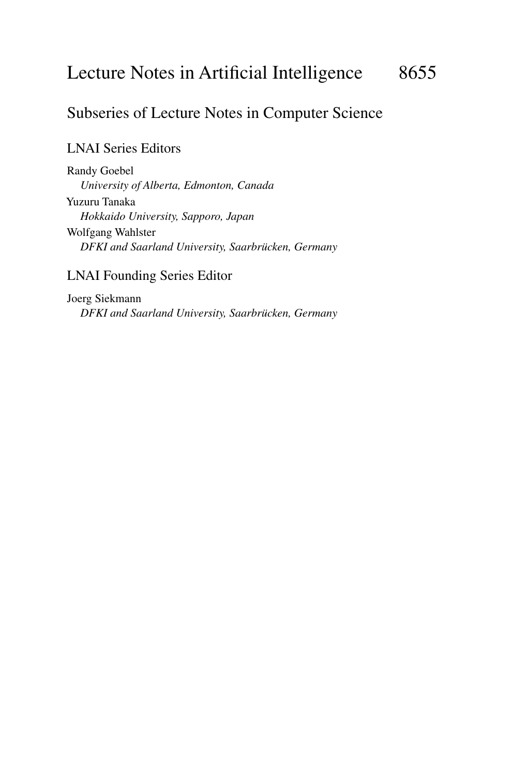# Lecture Notes in Artificial Intelligence 8655

# Subseries of Lecture Notes in Computer Science

## LNAI Series Editors

Randy Goebel *University of Alberta, Edmonton, Canada* Yuzuru Tanaka *Hokkaido University, Sapporo, Japan* Wolfgang Wahlster *DFKI and Saarland University, Saarbrücken, Germany*

## LNAI Founding Series Editor

Joerg Siekmann *DFKI and Saarland University, Saarbrücken, Germany*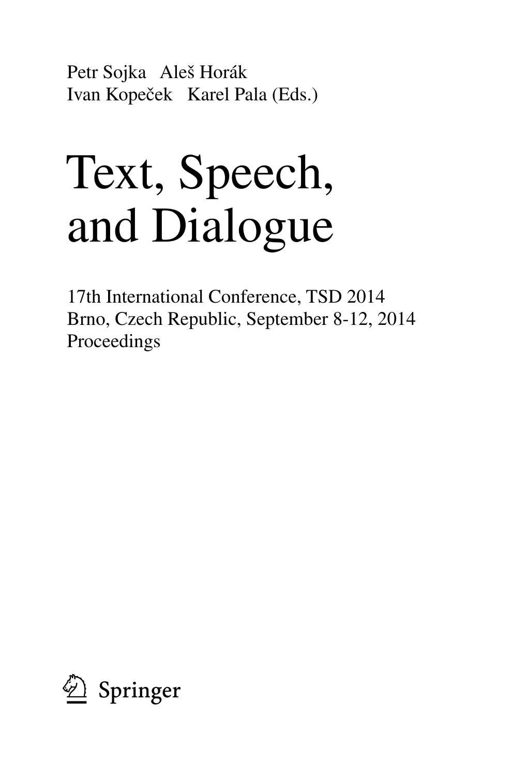Petr Sojka Aleš Horák Ivan Kopeček Karel Pala (Eds.)

# Text, Speech, and Dialogue

17th International Conference, TSD 2014 Brno, Czech Republic, September 8-12, 2014 Proceedings

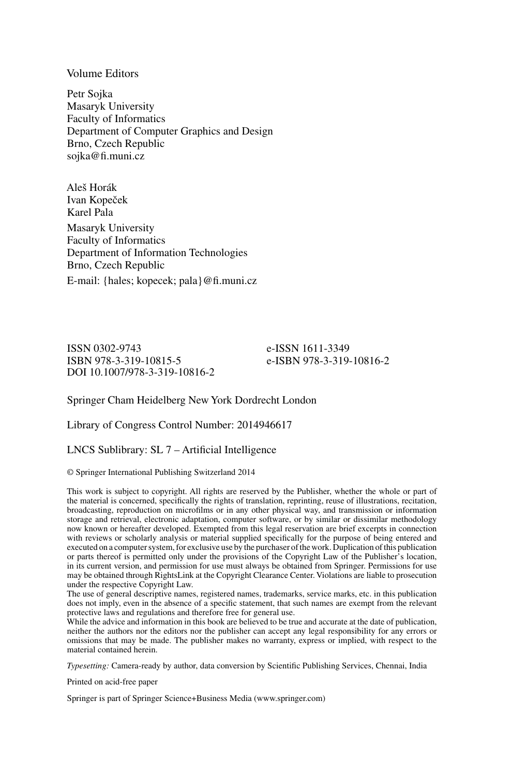#### Volume Editors

Petr Sojka Masaryk University Faculty of Informatics Department of Computer Graphics and Design Brno, Czech Republic sojka@fi.muni.cz

Aleš Horák Ivan Kopeček Karel Pala Masaryk University Faculty of Informatics Department of Information Technologies Brno, Czech Republic E-mail: {hales; kopecek; pala}@fi.muni.cz

ISSN 0302-9743 e-ISSN 1611-3349 ISBN 978-3-319-10815-5 e-ISBN 978-3-319-10816-2 DOI 10.1007/978-3-319-10816-2

#### Springer Cham Heidelberg New York Dordrecht London

Library of Congress Control Number: 2014946617

#### LNCS Sublibrary: SL 7 – Artificial Intelligence

#### © Springer International Publishing Switzerland 2014

This work is subject to copyright. All rights are reserved by the Publisher, whether the whole or part of the material is concerned, specifically the rights of translation, reprinting, reuse of illustrations, recitation, broadcasting, reproduction on microfilms or in any other physical way, and transmission or information storage and retrieval, electronic adaptation, computer software, or by similar or dissimilar methodology now known or hereafter developed. Exempted from this legal reservation are brief excerpts in connection with reviews or scholarly analysis or material supplied specifically for the purpose of being entered and executed on a computer system, for exclusive use by the purchaser of the work. Duplication of this publication or parts thereof is permitted only under the provisions of the Copyright Law of the Publisher's location, in its current version, and permission for use must always be obtained from Springer. Permissions for use may be obtained through RightsLink at the Copyright Clearance Center. Violations are liable to prosecution under the respective Copyright Law.

The use of general descriptive names, registered names, trademarks, service marks, etc. in this publication does not imply, even in the absence of a specific statement, that such names are exempt from the relevant

protective laws and regulations and therefore free for general use. While the advice and information in this book are believed to be true and accurate at the date of publication, neither the authors nor the editors nor the publisher can accept any legal responsibility for any errors or omissions that may be made. The publisher makes no warranty, express or implied, with respect to the material contained herein.

*Typesetting:* Camera-ready by author, data conversion by Scientific Publishing Services, Chennai, India

Printed on acid-free paper

Springer is part of Springer Science+Business Media (www.springer.com)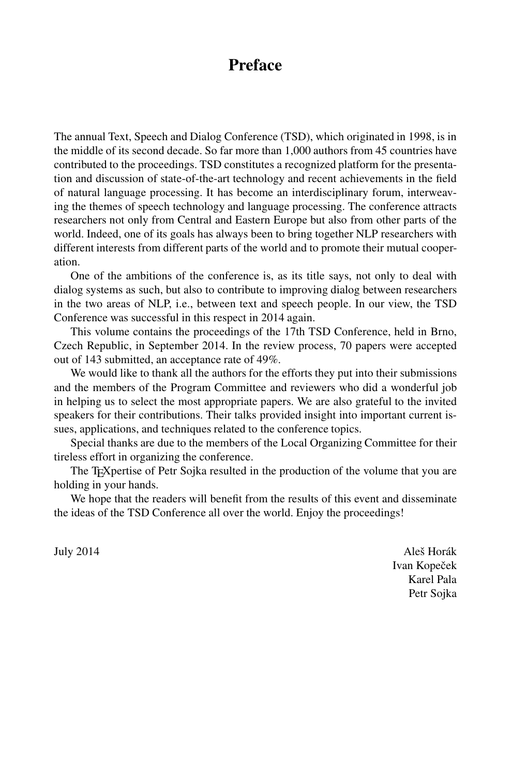# **Preface**

The annual Text, Speech and Dialog Conference (TSD), which originated in 1998, is in the middle of its second decade. So far more than 1,000 authors from 45 countries have contributed to the proceedings. TSD constitutes a recognized platform for the presentation and discussion of state-of-the-art technology and recent achievements in the field of natural language processing. It has become an interdisciplinary forum, interweaving the themes of speech technology and language processing. The conference attracts researchers not only from Central and Eastern Europe but also from other parts of the world. Indeed, one of its goals has always been to bring together NLP researchers with different interests from different parts of the world and to promote their mutual cooperation.

One of the ambitions of the conference is, as its title says, not only to deal with dialog systems as such, but also to contribute to improving dialog between researchers in the two areas of NLP, i.e., between text and speech people. In our view, the TSD Conference was successful in this respect in 2014 again.

This volume contains the proceedings of the 17th TSD Conference, held in Brno, Czech Republic, in September 2014. In the review process, 70 papers were accepted out of 143 submitted, an acceptance rate of 49%.

We would like to thank all the authors for the efforts they put into their submissions and the members of the Program Committee and reviewers who did a wonderful job in helping us to select the most appropriate papers. We are also grateful to the invited speakers for their contributions. Their talks provided insight into important current issues, applications, and techniques related to the conference topics.

Special thanks are due to the members of the Local Organizing Committee for their tireless effort in organizing the conference.

The TEXpertise of Petr Sojka resulted in the production of the volume that you are holding in your hands.

We hope that the readers will benefit from the results of this event and disseminate the ideas of the TSD Conference all over the world. Enjoy the proceedings!

July 2014 **Aleš** Horák Ivan Kopeček Karel Pala Petr Sojka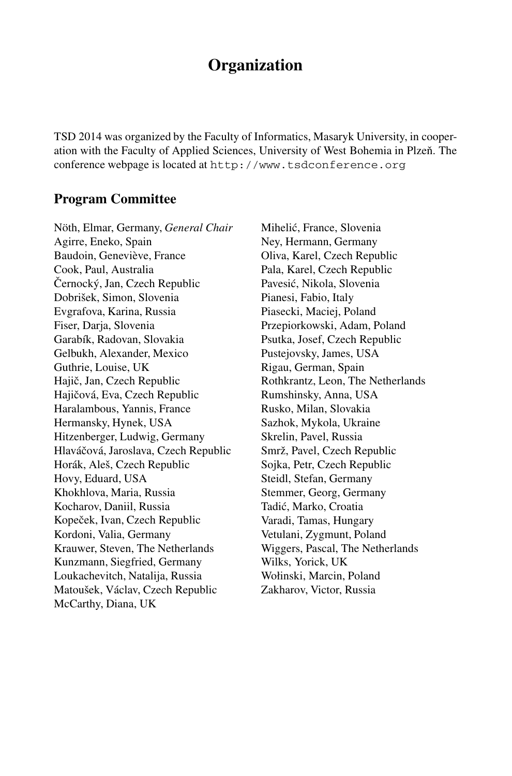# **Organization**

TSD 2014 was organized by the Faculty of Informatics, Masaryk University, in cooperation with the Faculty of Applied Sciences, University of West Bohemia in Plzeň. The conference webpage is located at http://www.tsdconference.org

#### **Program Committee**

Nöth, Elmar, Germany, *General Chair* Agirre, Eneko, Spain Baudoin, Geneviève, France Cook, Paul, Australia Černocký, Jan, Czech Republic Dobrišek, Simon, Slovenia Evgrafova, Karina, Russia Fiser, Darja, Slovenia Garabík, Radovan, Slovakia Gelbukh, Alexander, Mexico Guthrie, Louise, UK Hajič, Jan, Czech Republic Hajičová, Eva, Czech Republic Haralambous, Yannis, France Hermansky, Hynek, USA Hitzenberger, Ludwig, Germany Hlaváčová, Jaroslava, Czech Republic Horák, Aleš, Czech Republic Hovy, Eduard, USA Khokhlova, Maria, Russia Kocharov, Daniil, Russia Kopeček, Ivan, Czech Republic Kordoni, Valia, Germany Krauwer, Steven, The Netherlands Kunzmann, Siegfried, Germany Loukachevitch, Natalija, Russia Matoušek, Václav, Czech Republic McCarthy, Diana, UK

Mihelić, France, Slovenia Ney, Hermann, Germany Oliva, Karel, Czech Republic Pala, Karel, Czech Republic Pavesić, Nikola, Slovenia Pianesi, Fabio, Italy Piasecki, Maciej, Poland Przepiorkowski, Adam, Poland Psutka, Josef, Czech Republic Pustejovsky, James, USA Rigau, German, Spain Rothkrantz, Leon, The Netherlands Rumshinsky, Anna, USA Rusko, Milan, Slovakia Sazhok, Mykola, Ukraine Skrelin, Pavel, Russia Smrž, Pavel, Czech Republic Sojka, Petr, Czech Republic Steidl, Stefan, Germany Stemmer, Georg, Germany Tadić, Marko, Croatia Varadi, Tamas, Hungary Vetulani, Zygmunt, Poland Wiggers, Pascal, The Netherlands Wilks, Yorick, UK Wołinski, Marcin, Poland Zakharov, Victor, Russia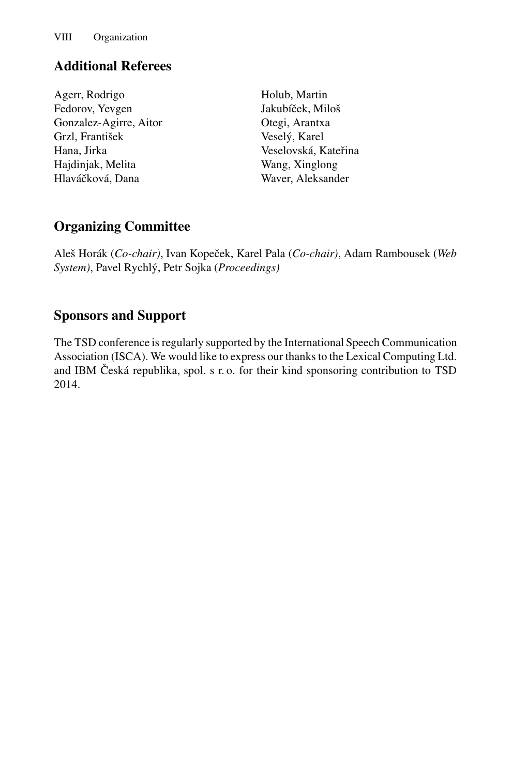# **Additional Referees**

Agerr, Rodrigo Fedorov, Yevgen Gonzalez-Agirre, Aitor Grzl, František Hana, Jirka Hajdinjak, Melita Hlaváčková, Dana

Holub, Martin Jakubíček, Miloš Otegi, Arantxa Veselý, Karel Veselovská, Kateřina Wang, Xinglong Waver, Aleksander

# **Organizing Committee**

Aleˇs Hor´ak (*Co-chair)*, Ivan Kopeˇcek, Karel Pala (*Co-chair)*, Adam Rambousek (*Web System)*, Pavel Rychl´y, Petr Sojka (*Proceedings)*

## **Sponsors and Support**

The TSD conference is regularly supported by the International Speech Communication Association (ISCA). We would like to express our thanks to the Lexical Computing Ltd. and IBM Česká republika, spol. s r. o. for their kind sponsoring contribution to TSD 2014.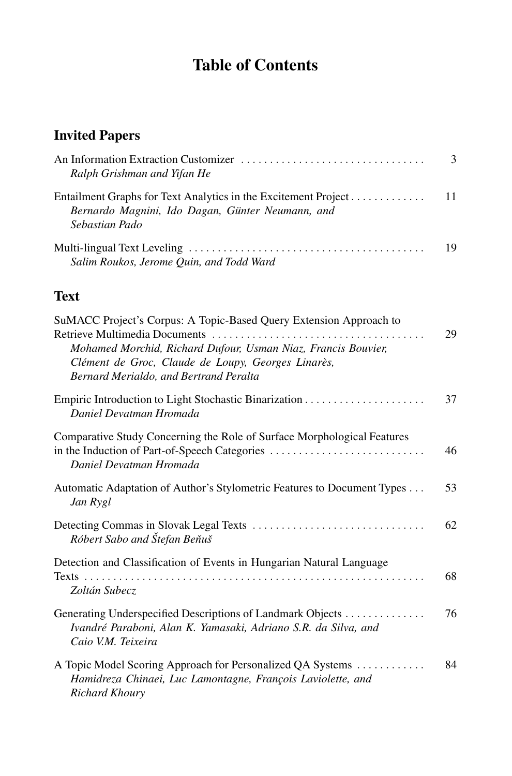# **Table of Contents**

# **Invited Papers**

| Ralph Grishman and Yifan He                                                                                                                                                                                                         | 3  |
|-------------------------------------------------------------------------------------------------------------------------------------------------------------------------------------------------------------------------------------|----|
| Entailment Graphs for Text Analytics in the Excitement Project<br>Bernardo Magnini, Ido Dagan, Günter Neumann, and<br>Sebastian Pado                                                                                                | 11 |
| Salim Roukos, Jerome Quin, and Todd Ward                                                                                                                                                                                            | 19 |
| <b>Text</b>                                                                                                                                                                                                                         |    |
| SuMACC Project's Corpus: A Topic-Based Query Extension Approach to<br>Mohamed Morchid, Richard Dufour, Usman Niaz, Francis Bouvier,<br>Clément de Groc, Claude de Loupy, Georges Linarès,<br>Bernard Merialdo, and Bertrand Peralta | 29 |
| Daniel Devatman Hromada                                                                                                                                                                                                             | 37 |
| Comparative Study Concerning the Role of Surface Morphological Features<br>in the Induction of Part-of-Speech Categories<br>Daniel Devatman Hromada                                                                                 | 46 |
| Automatic Adaptation of Author's Stylometric Features to Document Types<br>Jan Rygl                                                                                                                                                 | 53 |
| Róbert Sabo and Štefan Beňuš                                                                                                                                                                                                        | 62 |
| Detection and Classification of Events in Hungarian Natural Language<br>Texts $\ldots$ .<br>Zoltán Subecz                                                                                                                           | 68 |
| Generating Underspecified Descriptions of Landmark Objects<br>Ivandré Paraboni, Alan K. Yamasaki, Adriano S.R. da Silva, and<br>Caio V.M. Teixeira                                                                                  | 76 |
| A Topic Model Scoring Approach for Personalized QA Systems<br>Hamidreza Chinaei, Luc Lamontagne, François Laviolette, and                                                                                                           | 84 |

*Richard Khoury*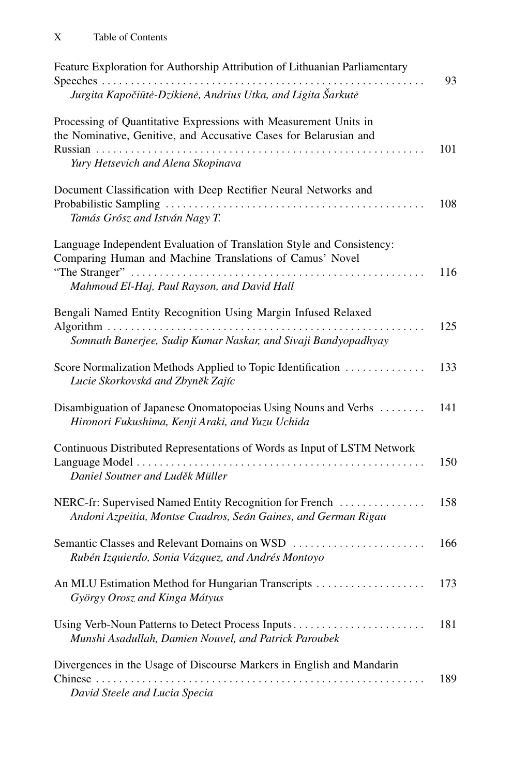| Feature Exploration for Authorship Attribution of Lithuanian Parliamentary                                                            |     |
|---------------------------------------------------------------------------------------------------------------------------------------|-----|
| . <b>.</b><br>Jurgita Kapočiūtė-Dzikienė, Andrius Utka, and Ligita Šarkutė                                                            | 93  |
| Processing of Quantitative Expressions with Measurement Units in<br>the Nominative, Genitive, and Accusative Cases for Belarusian and |     |
| Yury Hetsevich and Alena Skopinava                                                                                                    | 101 |
| Document Classification with Deep Rectifier Neural Networks and                                                                       | 108 |
| Tamás Grósz and István Nagy T.                                                                                                        |     |
| Language Independent Evaluation of Translation Style and Consistency:<br>Comparing Human and Machine Translations of Camus' Novel     |     |
| Mahmoud El-Haj, Paul Rayson, and David Hall                                                                                           | 116 |
| Bengali Named Entity Recognition Using Margin Infused Relaxed                                                                         |     |
| Somnath Banerjee, Sudip Kumar Naskar, and Sivaji Bandyopadhyay                                                                        | 125 |
| Score Normalization Methods Applied to Topic Identification<br>Lucie Skorkovská and Zbyněk Zajíc                                      | 133 |
| Disambiguation of Japanese Onomatopoeias Using Nouns and Verbs<br>Hironori Fukushima, Kenji Araki, and Yuzu Uchida                    | 141 |
| Continuous Distributed Representations of Words as Input of LSTM Network<br>Daniel Soutner and Luděk Müller                           | 150 |
| NERC-fr: Supervised Named Entity Recognition for French<br>Andoni Azpeitia, Montse Cuadros, Seán Gaines, and German Rigau             | 158 |
| Semantic Classes and Relevant Domains on WSD<br>Rubén Izquierdo, Sonia Vázquez, and Andrés Montoyo                                    | 166 |
| An MLU Estimation Method for Hungarian Transcripts<br>György Orosz and Kinga Mátyus                                                   | 173 |
| Using Verb-Noun Patterns to Detect Process Inputs<br>Munshi Asadullah, Damien Nouvel, and Patrick Paroubek                            | 181 |
| Divergences in the Usage of Discourse Markers in English and Mandarin<br>Chinese                                                      | 189 |
| David Steele and Lucia Specia                                                                                                         |     |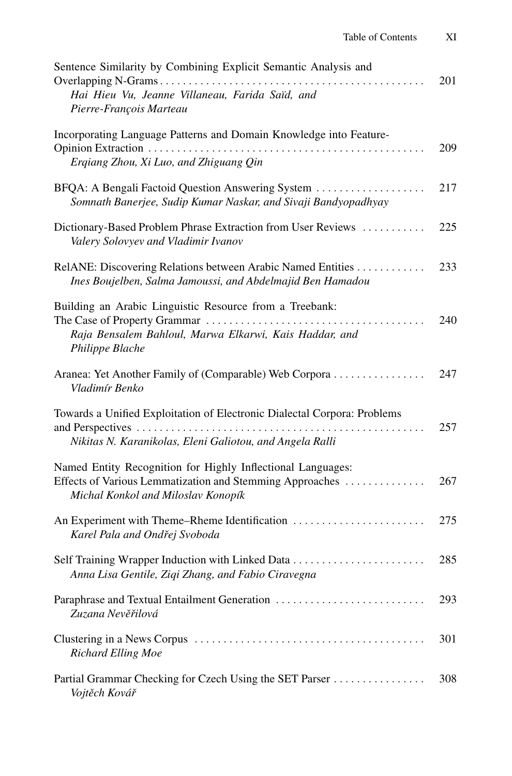| Sentence Similarity by Combining Explicit Semantic Analysis and                                                                                               | 201 |
|---------------------------------------------------------------------------------------------------------------------------------------------------------------|-----|
| Hai Hieu Vu, Jeanne Villaneau, Farida Saïd, and<br>Pierre-François Marteau                                                                                    |     |
| Incorporating Language Patterns and Domain Knowledge into Feature-<br>Ergiang Zhou, Xi Luo, and Zhiguang Qin                                                  | 209 |
| BFQA: A Bengali Factoid Question Answering System<br>Somnath Banerjee, Sudip Kumar Naskar, and Sivaji Bandyopadhyay                                           | 217 |
| Dictionary-Based Problem Phrase Extraction from User Reviews<br>Valery Solovyev and Vladimir Ivanov                                                           | 225 |
| RelANE: Discovering Relations between Arabic Named Entities<br>Ines Boujelben, Salma Jamoussi, and Abdelmajid Ben Hamadou                                     | 233 |
| Building an Arabic Linguistic Resource from a Treebank:<br>Raja Bensalem Bahloul, Marwa Elkarwi, Kais Haddar, and<br>Philippe Blache                          | 240 |
| Aranea: Yet Another Family of (Comparable) Web Corpora<br>Vladimír Benko                                                                                      | 247 |
| Towards a Unified Exploitation of Electronic Dialectal Corpora: Problems<br>Nikitas N. Karanikolas, Eleni Galiotou, and Angela Ralli                          | 257 |
| Named Entity Recognition for Highly Inflectional Languages:<br>Effects of Various Lemmatization and Stemming Approaches<br>Michal Konkol and Miloslav Konopík | 267 |
| An Experiment with Theme-Rheme Identification<br>Karel Pala and Ondřej Svoboda                                                                                | 275 |
| Self Training Wrapper Induction with Linked Data<br>Anna Lisa Gentile, Ziqi Zhang, and Fabio Ciravegna                                                        | 285 |
| Paraphrase and Textual Entailment Generation<br>Zuzana Nevěřilová                                                                                             | 293 |
| Richard Elling Moe                                                                                                                                            | 301 |
| Partial Grammar Checking for Czech Using the SET Parser<br>Vojtěch Kovář                                                                                      | 308 |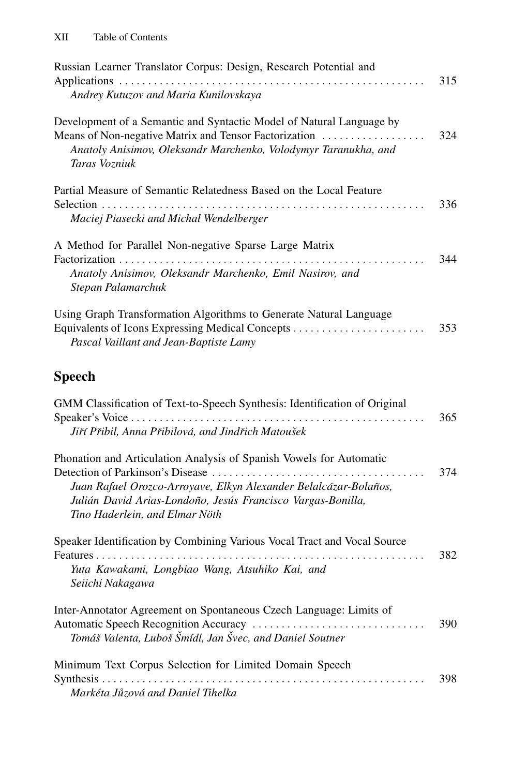| Russian Learner Translator Corpus: Design, Research Potential and<br>Andrey Kutuzov and Maria Kunilovskaya                                                                                                                                                                   | 315 |
|------------------------------------------------------------------------------------------------------------------------------------------------------------------------------------------------------------------------------------------------------------------------------|-----|
| Development of a Semantic and Syntactic Model of Natural Language by<br>Means of Non-negative Matrix and Tensor Factorization<br>Anatoly Anisimov, Oleksandr Marchenko, Volodymyr Taranukha, and<br>Taras Vozniuk                                                            | 324 |
| Partial Measure of Semantic Relatedness Based on the Local Feature<br>Maciej Piasecki and Michał Wendelberger                                                                                                                                                                | 336 |
| A Method for Parallel Non-negative Sparse Large Matrix<br>Anatoly Anisimov, Oleksandr Marchenko, Emil Nasirov, and<br>Stepan Palamarchuk                                                                                                                                     | 344 |
| Using Graph Transformation Algorithms to Generate Natural Language<br>Pascal Vaillant and Jean-Baptiste Lamy                                                                                                                                                                 | 353 |
| <b>Speech</b>                                                                                                                                                                                                                                                                |     |
| GMM Classification of Text-to-Speech Synthesis: Identification of Original<br>Jiří Přibil, Anna Přibilová, and Jindřich Matoušek                                                                                                                                             | 365 |
| Phonation and Articulation Analysis of Spanish Vowels for Automatic<br>Detection of Parkinson's Disease<br>Juan Rafael Orozco-Arroyave, Elkyn Alexander Belalcázar-Bolaños,<br>Julián David Arias-Londoño, Jesús Francisco Vargas-Bonilla,<br>Tino Haderlein, and Elmar Nöth | 374 |
| Speaker Identification by Combining Various Vocal Tract and Vocal Source<br>Features<br>Yuta Kawakami, Longbiao Wang, Atsuhiko Kai, and<br>Seiichi Nakagawa                                                                                                                  | 382 |
| Inter-Annotator Agreement on Spontaneous Czech Language: Limits of<br>Tomáš Valenta, Luboš Šmídl, Jan Švec, and Daniel Soutner                                                                                                                                               | 390 |
| Minimum Text Corpus Selection for Limited Domain Speech                                                                                                                                                                                                                      | 398 |

*Marketa J ´ uzov ˚ a and Daniel Tihelka ´*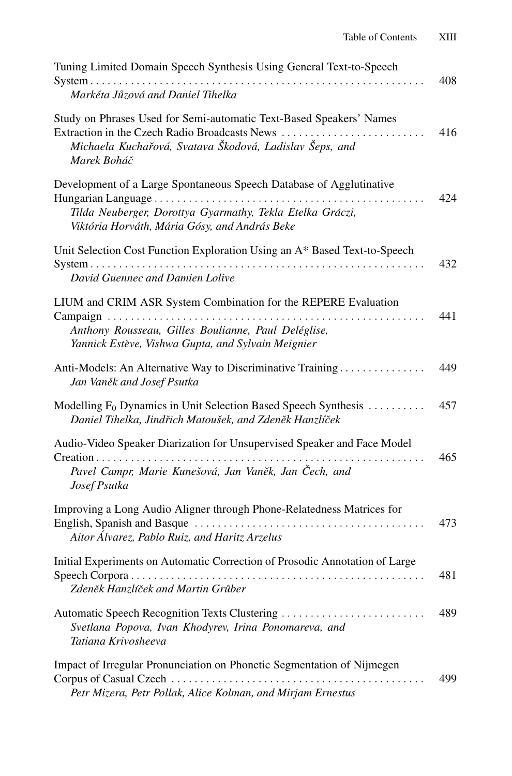| Tuning Limited Domain Speech Synthesis Using General Text-to-Speech                                                                                                                            |     |
|------------------------------------------------------------------------------------------------------------------------------------------------------------------------------------------------|-----|
| Markéta Jůzová and Daniel Tihelka                                                                                                                                                              | 408 |
| Study on Phrases Used for Semi-automatic Text-Based Speakers' Names<br>Extraction in the Czech Radio Broadcasts News<br>Michaela Kuchařová, Svatava Škodová, Ladislav Šeps, and<br>Marek Boháč | 416 |
| Development of a Large Spontaneous Speech Database of Agglutinative<br>Tilda Neuberger, Dorottya Gyarmathy, Tekla Etelka Gráczi,<br>Viktória Horváth, Mária Gósy, and András Beke              | 424 |
| Unit Selection Cost Function Exploration Using an A* Based Text-to-Speech<br>David Guennec and Damien Lolive                                                                                   | 432 |
| LIUM and CRIM ASR System Combination for the REPERE Evaluation<br>Anthony Rousseau, Gilles Boulianne, Paul Deléglise,<br>Yannick Estève, Vishwa Gupta, and Sylvain Meignier                    | 441 |
| Anti-Models: An Alternative Way to Discriminative Training<br>Jan Vaněk and Josef Psutka                                                                                                       | 449 |
| Modelling $F_0$ Dynamics in Unit Selection Based Speech Synthesis<br>Daniel Tihelka, Jindřich Matoušek, and Zdeněk Hanzlíček                                                                   | 457 |
| Audio-Video Speaker Diarization for Unsupervised Speaker and Face Model<br>.<br>Pavel Campr, Marie Kunešová, Jan Vaněk, Jan Čech, and<br>Josef Psutka                                          | 465 |
| Improving a Long Audio Aligner through Phone-Relatedness Matrices for<br>Aitor Álvarez, Pablo Ruiz, and Haritz Arzelus                                                                         | 473 |
| Initial Experiments on Automatic Correction of Prosodic Annotation of Large<br>Zdeněk Hanzlíček and Martin Grůber                                                                              | 481 |
| Automatic Speech Recognition Texts Clustering<br>Svetlana Popova, Ivan Khodyrev, Irina Ponomareva, and<br>Tatiana Krivosheeva                                                                  | 489 |
| Impact of Irregular Pronunciation on Phonetic Segmentation of Nijmegen<br>Petr Mizera, Petr Pollak, Alice Kolman, and Mirjam Ernestus                                                          | 499 |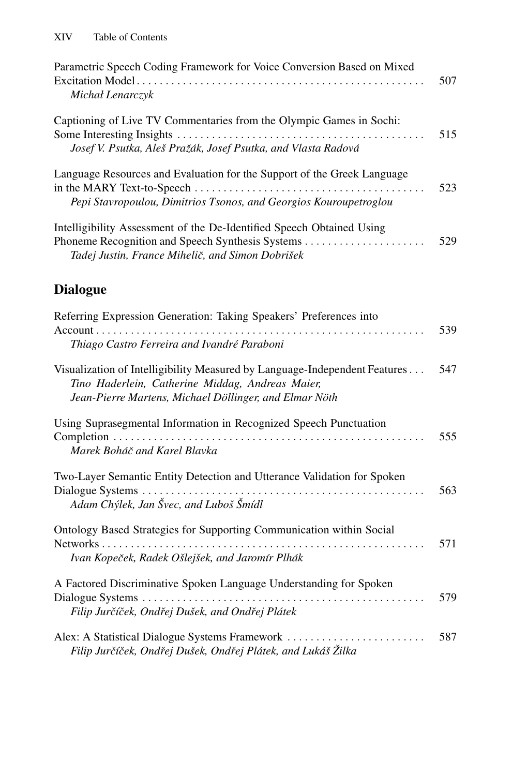| Parametric Speech Coding Framework for Voice Conversion Based on Mixed<br>Michał Lenarczyk                                                                                               | 507 |
|------------------------------------------------------------------------------------------------------------------------------------------------------------------------------------------|-----|
| Captioning of Live TV Commentaries from the Olympic Games in Sochi:<br>Josef V. Psutka, Aleš Pražák, Josef Psutka, and Vlasta Radová                                                     | 515 |
| Language Resources and Evaluation for the Support of the Greek Language<br>Pepi Stavropoulou, Dimitrios Tsonos, and Georgios Kouroupetroglou                                             | 523 |
| Intelligibility Assessment of the De-Identified Speech Obtained Using<br>Tadej Justin, France Mihelič, and Simon Dobrišek                                                                | 529 |
| <b>Dialogue</b>                                                                                                                                                                          |     |
| Referring Expression Generation: Taking Speakers' Preferences into<br>Thiago Castro Ferreira and Ivandré Paraboni                                                                        | 539 |
| Visualization of Intelligibility Measured by Language-Independent Features<br>Tino Haderlein, Catherine Middag, Andreas Maier,<br>Jean-Pierre Martens, Michael Döllinger, and Elmar Nöth | 547 |
| Using Suprasegmental Information in Recognized Speech Punctuation<br>Marek Boháč and Karel Blavka                                                                                        | 555 |
| Two-Layer Semantic Entity Detection and Utterance Validation for Spoken<br>Adam Chýlek, Jan Švec, and Luboš Šmídl                                                                        | 563 |
| Ontology Based Strategies for Supporting Communication within Social<br>Ivan Kopeček, Radek Ošlejšek, and Jaromír Plhák                                                                  | 571 |
| A Factored Discriminative Spoken Language Understanding for Spoken<br>Filip Jurčíček, Ondřej Dušek, and Ondřej Plátek                                                                    | 579 |
| Alex: A Statistical Dialogue Systems Framework<br>Filip Jurčíček, Ondřej Dušek, Ondřej Plátek, and Lukáš Žilka                                                                           | 587 |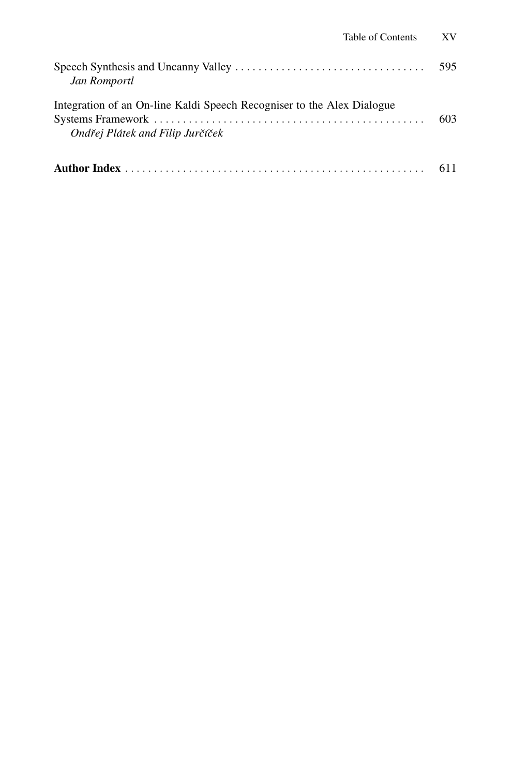| Jan Romportl                                                                                               | 595 |
|------------------------------------------------------------------------------------------------------------|-----|
| Integration of an On-line Kaldi Speech Recogniser to the Alex Dialogue<br>Ondřej Plátek and Filip Jurčíček | 603 |
|                                                                                                            | 611 |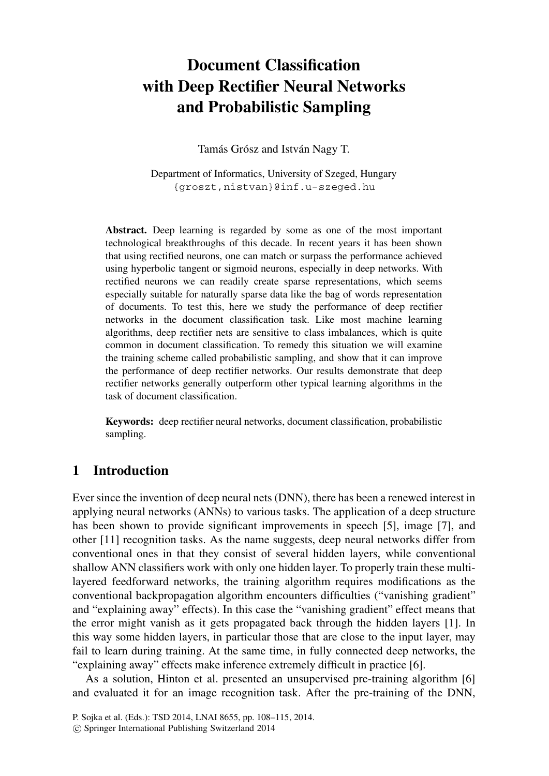# **Document Classification with Deep Rectifier Neural Networks and Probabilistic Sampling**

Tamás Grósz and István Nagy T.

Department of Informatics, University of Szeged, Hungary {groszt,nistvan}@inf.u-szeged.hu

**Abstract.** Deep learning is regarded by some as one of the most important technological breakthroughs of this decade. In recent years it has been shown that using rectified neurons, one can match or surpass the performance achieved using hyperbolic tangent or sigmoid neurons, especially in deep networks. With rectified neurons we can readily create sparse representations, which seems especially suitable for naturally sparse data like the bag of words representation of documents. To test this, here we study the performance of deep rectifier networks in the document classification task. Like most machine learning algorithms, deep rectifier nets are sensitive to class imbalances, which is quite common in document classification. To remedy this situation we will examine the training scheme called probabilistic sampling, and show that it can improve the performance of deep rectifier networks. Our results demonstrate that deep rectifier networks generally outperform other typical learning algorithms in the task of document classification.

**Keywords:** deep rectifier neural networks, document classification, probabilistic sampling.

# **1 Introduction**

Ever since the invention of deep neural nets (DNN), there has been a renewed interest in applying neural networks (ANNs) to various tasks. The application of a deep structure has been shown to provide significant improvements in speech [5], image [7], and other [11] recognition tasks. As the name suggests, deep neural networks differ from conventional ones in that they consist of several hidden layers, while conventional shallow ANN classifiers work with only one hidden layer. To properly train these multilayered feedforward networks, the training algorithm requires modifications as the conventional backpropagation algorithm encounters difficulties ("vanishing gradient" and "explaining away" effects). In this case the "vanishing gradient" effect means that the error might vanish as it gets propagated back through the hidden layers [1]. In this way some hidden layers, in particular those that are close to the input layer, may fail to learn during training. At the same time, in fully connected deep networks, the "explaining away" effects make inference extremely difficult in practice [6].

As a solution, Hinton et al. presented an unsupervised pre-training algorithm [6] and evaluated it for an image recognition task. After the pre-training of the DNN,

P. Sojka et al. (Eds.): TSD 2014, LNAI 8655, pp. 108–115, 2014.

<sup>�</sup>c Springer International Publishing Switzerland 2014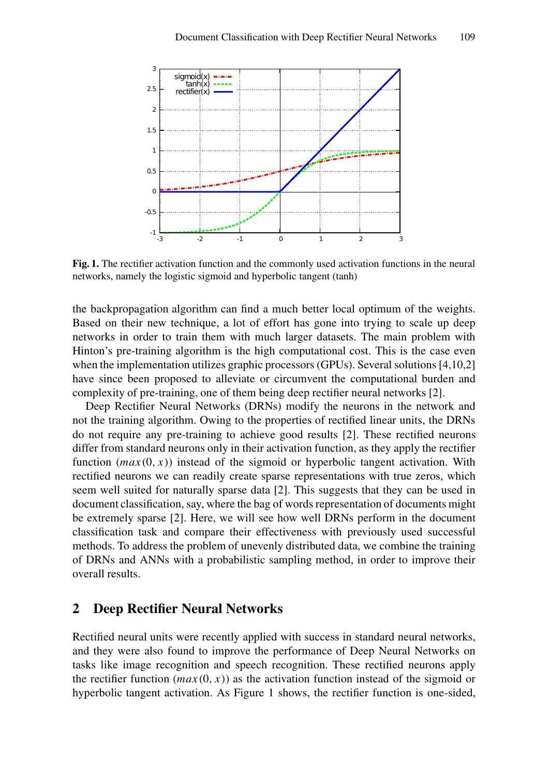

**Fig. 1.** The rectifier activation function and the commonly used activation functions in the neural networks, namely the logistic sigmoid and hyperbolic tangent (tanh)

the backpropagation algorithm can find a much better local optimum of the weights. Based on their new technique, a lot of effort has gone into trying to scale up deep networks in order to train them with much larger datasets. The main problem with Hinton's pre-training algorithm is the high computational cost. This is the case even when the implementation utilizes graphic processors (GPUs). Several solutions [4,10,2] have since been proposed to alleviate or circumvent the computational burden and complexity of pre-training, one of them being deep rectifier neural networks [2].

Deep Rectifier Neural Networks (DRNs) modify the neurons in the network and not the training algorithm. Owing to the properties of rectified linear units, the DRNs do not require any pre-training to achieve good results [2]. These rectified neurons differ from standard neurons only in their activation function, as they apply the rectifier function  $(max(0, x))$  instead of the sigmoid or hyperbolic tangent activation. With rectified neurons we can readily create sparse representations with true zeros, which seem well suited for naturally sparse data [2]. This suggests that they can be used in document classification, say, where the bag of words representation of documents might be extremely sparse [2]. Here, we will see how well DRNs perform in the document classification task and compare their effectiveness with previously used successful methods. To address the problem of unevenly distributed data, we combine the training of DRNs and ANNs with a probabilistic sampling method, in order to improve their overall results.

# **2 Deep Rectifier Neural Networks**

Rectified neural units were recently applied with success in standard neural networks, and they were also found to improve the performance of Deep Neural Networks on tasks like image recognition and speech recognition. These rectified neurons apply the rectifier function  $(max(0, x))$  as the activation function instead of the sigmoid or hyperbolic tangent activation. As Figure 1 shows, the rectifier function is one-sided,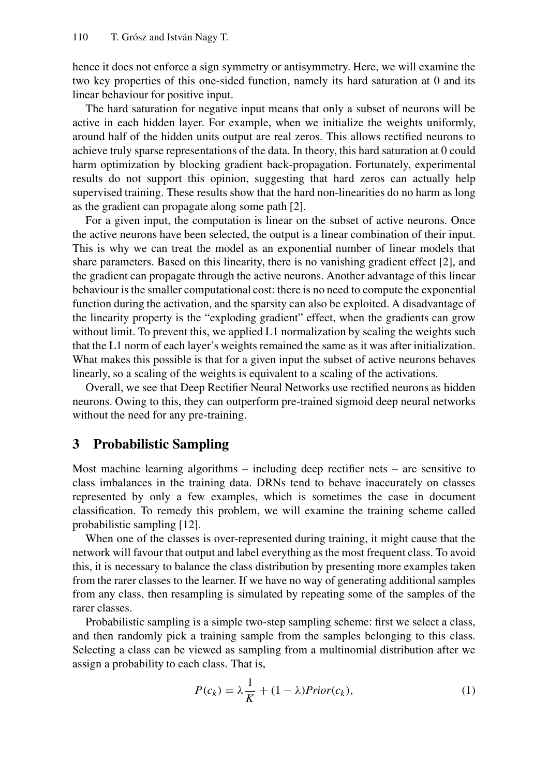hence it does not enforce a sign symmetry or antisymmetry. Here, we will examine the two key properties of this one-sided function, namely its hard saturation at 0 and its linear behaviour for positive input.

The hard saturation for negative input means that only a subset of neurons will be active in each hidden layer. For example, when we initialize the weights uniformly, around half of the hidden units output are real zeros. This allows rectified neurons to achieve truly sparse representations of the data. In theory, this hard saturation at 0 could harm optimization by blocking gradient back-propagation. Fortunately, experimental results do not support this opinion, suggesting that hard zeros can actually help supervised training. These results show that the hard non-linearities do no harm as long as the gradient can propagate along some path [2].

For a given input, the computation is linear on the subset of active neurons. Once the active neurons have been selected, the output is a linear combination of their input. This is why we can treat the model as an exponential number of linear models that share parameters. Based on this linearity, there is no vanishing gradient effect [2], and the gradient can propagate through the active neurons. Another advantage of this linear behaviour is the smaller computational cost: there is no need to compute the exponential function during the activation, and the sparsity can also be exploited. A disadvantage of the linearity property is the "exploding gradient" effect, when the gradients can grow without limit. To prevent this, we applied L1 normalization by scaling the weights such that the L1 norm of each layer's weights remained the same as it was after initialization. What makes this possible is that for a given input the subset of active neurons behaves linearly, so a scaling of the weights is equivalent to a scaling of the activations.

Overall, we see that Deep Rectifier Neural Networks use rectified neurons as hidden neurons. Owing to this, they can outperform pre-trained sigmoid deep neural networks without the need for any pre-training.

# **3 Probabilistic Sampling**

Most machine learning algorithms – including deep rectifier nets – are sensitive to class imbalances in the training data. DRNs tend to behave inaccurately on classes represented by only a few examples, which is sometimes the case in document classification. To remedy this problem, we will examine the training scheme called probabilistic sampling [12].

When one of the classes is over-represented during training, it might cause that the network will favour that output and label everything as the most frequent class. To avoid this, it is necessary to balance the class distribution by presenting more examples taken from the rarer classes to the learner. If we have no way of generating additional samples from any class, then resampling is simulated by repeating some of the samples of the rarer classes.

Probabilistic sampling is a simple two-step sampling scheme: first we select a class, and then randomly pick a training sample from the samples belonging to this class. Selecting a class can be viewed as sampling from a multinomial distribution after we assign a probability to each class. That is,

$$
P(c_k) = \lambda \frac{1}{K} + (1 - \lambda)Prior(c_k),
$$
\n(1)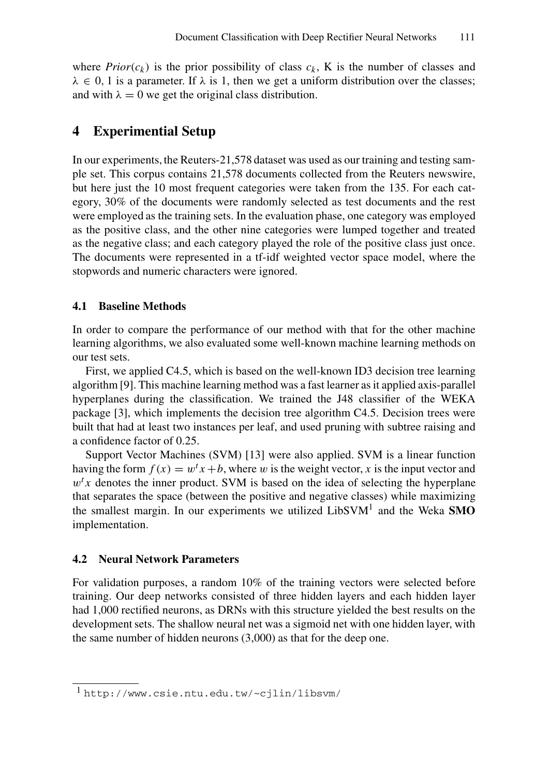where  $Prior(c_k)$  is the prior possibility of class  $c_k$ , K is the number of classes and  $\lambda \in 0, 1$  is a parameter. If  $\lambda$  is 1, then we get a uniform distribution over the classes; and with  $\lambda = 0$  we get the original class distribution.

# **4 Experimential Setup**

In our experiments, the Reuters-21,578 dataset was used as our training and testing sample set. This corpus contains 21,578 documents collected from the Reuters newswire, but here just the 10 most frequent categories were taken from the 135. For each category, 30% of the documents were randomly selected as test documents and the rest were employed as the training sets. In the evaluation phase, one category was employed as the positive class, and the other nine categories were lumped together and treated as the negative class; and each category played the role of the positive class just once. The documents were represented in a tf-idf weighted vector space model, where the stopwords and numeric characters were ignored.

## **4.1 Baseline Methods**

In order to compare the performance of our method with that for the other machine learning algorithms, we also evaluated some well-known machine learning methods on our test sets.

First, we applied C4.5, which is based on the well-known ID3 decision tree learning algorithm [9]. This machine learning method was a fast learner as it applied axis-parallel hyperplanes during the classification. We trained the J48 classifier of the WEKA package [3], which implements the decision tree algorithm C4.5. Decision trees were built that had at least two instances per leaf, and used pruning with subtree raising and a confidence factor of 0.25.

Support Vector Machines (SVM) [13] were also applied. SVM is a linear function having the form  $f(x) = w^t x + b$ , where w is the weight vector, x is the input vector and  $w<sup>t</sup>x$  denotes the inner product. SVM is based on the idea of selecting the hyperplane that separates the space (between the positive and negative classes) while maximizing the smallest margin. In our experiments we utilized LibSVM<sup>1</sup> and the Weka **SMO** implementation.

# **4.2 Neural Network Parameters**

For validation purposes, a random 10% of the training vectors were selected before training. Our deep networks consisted of three hidden layers and each hidden layer had 1,000 rectified neurons, as DRNs with this structure yielded the best results on the development sets. The shallow neural net was a sigmoid net with one hidden layer, with the same number of hidden neurons (3,000) as that for the deep one.

<sup>1</sup> http://www.csie.ntu.edu.tw/~cjlin/libsvm/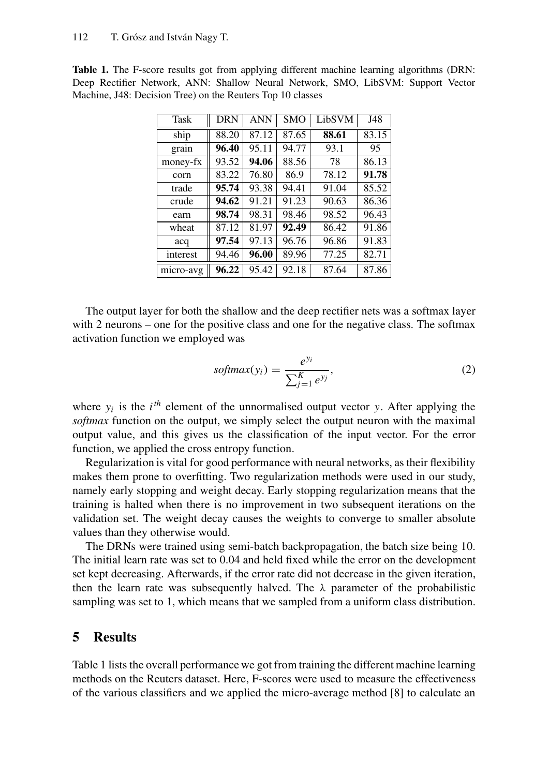| <b>Task</b> | <b>DRN</b> | <b>ANN</b> | <b>SMO</b> | LibSVM | J48   |
|-------------|------------|------------|------------|--------|-------|
| ship        | 88.20      | 87.12      | 87.65      | 88.61  | 83.15 |
| grain       | 96.40      | 95.11      | 94.77      | 93.1   | 95    |
| money-fx    | 93.52      | 94.06      | 88.56      | 78     | 86.13 |
| corn        | 83.22      | 76.80      | 86.9       | 78.12  | 91.78 |
| trade       | 95.74      | 93.38      | 94.41      | 91.04  | 85.52 |
| crude       | 94.62      | 91.21      | 91.23      | 90.63  | 86.36 |
| earn        | 98.74      | 98.31      | 98.46      | 98.52  | 96.43 |
| wheat       | 87.12      | 81.97      | 92.49      | 86.42  | 91.86 |
| acq         | 97.54      | 97.13      | 96.76      | 96.86  | 91.83 |
| interest    | 94.46      | 96.00      | 89.96      | 77.25  | 82.71 |
| micro-avg   | 96.22      | 95.42      | 92.18      | 87.64  | 87.86 |

**Table 1.** The F-score results got from applying different machine learning algorithms (DRN: Deep Rectifier Network, ANN: Shallow Neural Network, SMO, LibSVM: Support Vector Machine, J48: Decision Tree) on the Reuters Top 10 classes

The output layer for both the shallow and the deep rectifier nets was a softmax layer with 2 neurons – one for the positive class and one for the negative class. The softmax activation function we employed was

$$
softmax(y_i) = \frac{e^{y_i}}{\sum_{j=1}^{K} e^{y_j}},
$$
\n(2)

where  $y_i$  is the  $i^{th}$  element of the unnormalised output vector *y*. After applying the *softmax* function on the output, we simply select the output neuron with the maximal output value, and this gives us the classification of the input vector. For the error function, we applied the cross entropy function.

Regularization is vital for good performance with neural networks, as their flexibility makes them prone to overfitting. Two regularization methods were used in our study, namely early stopping and weight decay. Early stopping regularization means that the training is halted when there is no improvement in two subsequent iterations on the validation set. The weight decay causes the weights to converge to smaller absolute values than they otherwise would.

The DRNs were trained using semi-batch backpropagation, the batch size being 10. The initial learn rate was set to 0.04 and held fixed while the error on the development set kept decreasing. Afterwards, if the error rate did not decrease in the given iteration, then the learn rate was subsequently halved. The  $\lambda$  parameter of the probabilistic sampling was set to 1, which means that we sampled from a uniform class distribution.

# **5 Results**

Table 1 lists the overall performance we got from training the different machine learning methods on the Reuters dataset. Here, F-scores were used to measure the effectiveness of the various classifiers and we applied the micro-average method [8] to calculate an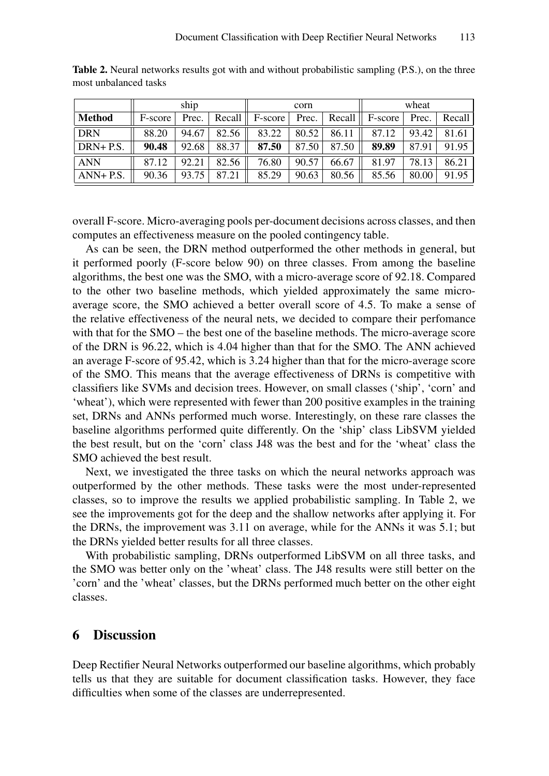|               |         | ship  |       | wheat<br>corn    |       |       |                                  |       |        |
|---------------|---------|-------|-------|------------------|-------|-------|----------------------------------|-------|--------|
| <b>Method</b> | F-score | Prec. |       | Recall   F-score |       |       | Prec.   Recall   F-score   Prec. |       | Recall |
| <b>DRN</b>    | 88.20   | 94.67 | 82.56 | 83.22            | 80.52 | 86.11 | 87.12                            | 93.42 | 81.61  |
| DRN+P.S.      | 90.48   | 92.68 | 88.37 | 87.50            | 87.50 | 87.50 | 89.89                            | 87.91 | 91.95  |
| <b>ANN</b>    | 87.12   | 92.21 | 82.56 | 76.80            | 90.57 | 66.67 | 81.97                            | 78.13 | 86.21  |
| $ANN + P.S.$  | 90.36   | 93.75 | 87.21 | 85.29            | 90.63 | 80.56 | 85.56                            | 80.00 | 91.95  |

**Table 2.** Neural networks results got with and without probabilistic sampling (P.S.), on the three most unbalanced tasks

overall F-score. Micro-averaging pools per-document decisions across classes, and then computes an effectiveness measure on the pooled contingency table.

As can be seen, the DRN method outperformed the other methods in general, but it performed poorly (F-score below 90) on three classes. From among the baseline algorithms, the best one was the SMO, with a micro-average score of 92.18. Compared to the other two baseline methods, which yielded approximately the same microaverage score, the SMO achieved a better overall score of 4.5. To make a sense of the relative effectiveness of the neural nets, we decided to compare their perfomance with that for the SMO – the best one of the baseline methods. The micro-average score of the DRN is 96.22, which is 4.04 higher than that for the SMO. The ANN achieved an average F-score of 95.42, which is 3.24 higher than that for the micro-average score of the SMO. This means that the average effectiveness of DRNs is competitive with classifiers like SVMs and decision trees. However, on small classes ('ship', 'corn' and 'wheat'), which were represented with fewer than 200 positive examples in the training set, DRNs and ANNs performed much worse. Interestingly, on these rare classes the baseline algorithms performed quite differently. On the 'ship' class LibSVM yielded the best result, but on the 'corn' class J48 was the best and for the 'wheat' class the SMO achieved the best result.

Next, we investigated the three tasks on which the neural networks approach was outperformed by the other methods. These tasks were the most under-represented classes, so to improve the results we applied probabilistic sampling. In Table 2, we see the improvements got for the deep and the shallow networks after applying it. For the DRNs, the improvement was 3.11 on average, while for the ANNs it was 5.1; but the DRNs yielded better results for all three classes.

With probabilistic sampling, DRNs outperformed LibSVM on all three tasks, and the SMO was better only on the 'wheat' class. The J48 results were still better on the 'corn' and the 'wheat' classes, but the DRNs performed much better on the other eight classes.

## **6 Discussion**

Deep Rectifier Neural Networks outperformed our baseline algorithms, which probably tells us that they are suitable for document classification tasks. However, they face difficulties when some of the classes are underrepresented.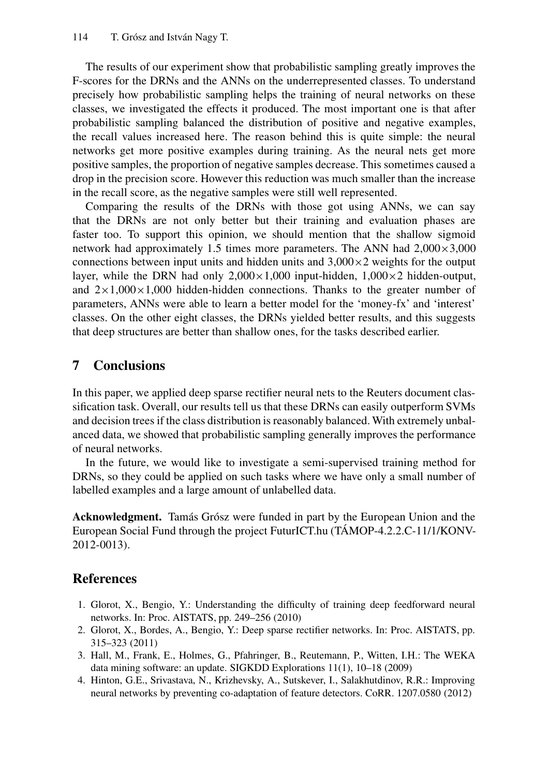The results of our experiment show that probabilistic sampling greatly improves the F-scores for the DRNs and the ANNs on the underrepresented classes. To understand precisely how probabilistic sampling helps the training of neural networks on these classes, we investigated the effects it produced. The most important one is that after probabilistic sampling balanced the distribution of positive and negative examples, the recall values increased here. The reason behind this is quite simple: the neural networks get more positive examples during training. As the neural nets get more positive samples, the proportion of negative samples decrease. This sometimes caused a drop in the precision score. However this reduction was much smaller than the increase in the recall score, as the negative samples were still well represented.

Comparing the results of the DRNs with those got using ANNs, we can say that the DRNs are not only better but their training and evaluation phases are faster too. To support this opinion, we should mention that the shallow sigmoid network had approximately 1.5 times more parameters. The ANN had  $2,000\times3,000$ connections between input units and hidden units and  $3,000\times2$  weights for the output layer, while the DRN had only  $2,000 \times 1,000$  input-hidden,  $1,000 \times 2$  hidden-output, and  $2 \times 1,000 \times 1,000$  hidden-hidden connections. Thanks to the greater number of parameters, ANNs were able to learn a better model for the 'money-fx' and 'interest' classes. On the other eight classes, the DRNs yielded better results, and this suggests that deep structures are better than shallow ones, for the tasks described earlier.

# **7 Conclusions**

In this paper, we applied deep sparse rectifier neural nets to the Reuters document classification task. Overall, our results tell us that these DRNs can easily outperform SVMs and decision trees if the class distribution is reasonably balanced. With extremely unbalanced data, we showed that probabilistic sampling generally improves the performance of neural networks.

In the future, we would like to investigate a semi-supervised training method for DRNs, so they could be applied on such tasks where we have only a small number of labelled examples and a large amount of unlabelled data.

**Acknowledgment.** Tamás Grósz were funded in part by the European Union and the European Social Fund through the project FuturICT.hu (TÁMOP-4.2.2.C-11/1/KONV-2012-0013).

# **References**

- 1. Glorot, X., Bengio, Y.: Understanding the difficulty of training deep feedforward neural networks. In: Proc. AISTATS, pp. 249–256 (2010)
- 2. Glorot, X., Bordes, A., Bengio, Y.: Deep sparse rectifier networks. In: Proc. AISTATS, pp. 315–323 (2011)
- 3. Hall, M., Frank, E., Holmes, G., Pfahringer, B., Reutemann, P., Witten, I.H.: The WEKA data mining software: an update. SIGKDD Explorations 11(1), 10–18 (2009)
- 4. Hinton, G.E., Srivastava, N., Krizhevsky, A., Sutskever, I., Salakhutdinov, R.R.: Improving neural networks by preventing co-adaptation of feature detectors. CoRR. 1207.0580 (2012)